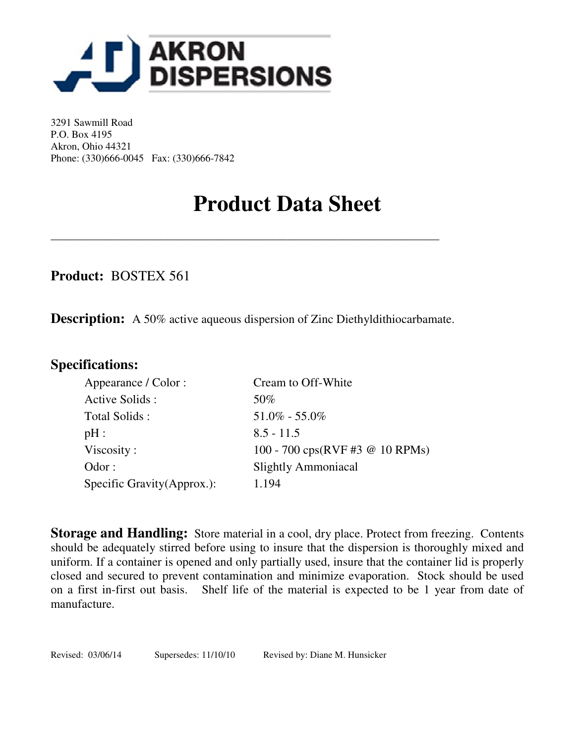

3291 Sawmill Road P.O. Box 4195 Akron, Ohio 44321 Phone: (330)666-0045 Fax: (330)666-7842

# **Product Data Sheet**

**Product:** BOSTEX 561

**Description:** A 50% active aqueous dispersion of Zinc Diethyldithiocarbamate.

\_\_\_\_\_\_\_\_\_\_\_\_\_\_\_\_\_\_\_\_\_\_\_\_\_\_\_\_\_\_\_\_\_\_\_\_\_\_\_\_\_\_\_\_\_\_\_\_\_\_\_\_\_\_\_\_\_\_\_\_\_\_\_\_\_\_\_\_\_

# **Specifications:**

| Appearance / Color :        | Cream to Off-White                                         |
|-----------------------------|------------------------------------------------------------|
| Active Solids:              | 50%                                                        |
| Total Solids:               | $51.0\% - 55.0\%$                                          |
| pH:                         | $8.5 - 11.5$                                               |
| Viscosity:                  | 100 - 700 $\text{cps(RVF \#3} \text{ @ } 10 \text{ RPMs})$ |
| Odor:                       | <b>Slightly Ammoniacal</b>                                 |
| Specific Gravity (Approx.): | 1.194                                                      |

**Storage and Handling:** Store material in a cool, dry place. Protect from freezing. Contents should be adequately stirred before using to insure that the dispersion is thoroughly mixed and uniform. If a container is opened and only partially used, insure that the container lid is properly closed and secured to prevent contamination and minimize evaporation. Stock should be used on a first in-first out basis. Shelf life of the material is expected to be 1 year from date of manufacture.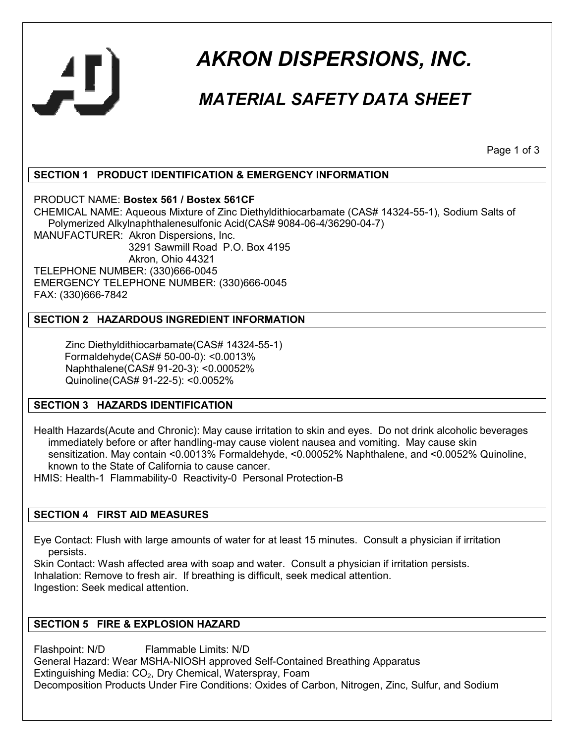

# *AKRON DISPERSIONS, INC.*

# *MATERIAL SAFETY DATA SHEET*

Page 1 of 3

# **SECTION 1 PRODUCT IDENTIFICATION & EMERGENCY INFORMATION**

PRODUCT NAME: **Bostex 561 / Bostex 561CF**

CHEMICAL NAME: Aqueous Mixture of Zinc Diethyldithiocarbamate (CAS# 14324-55-1), Sodium Salts of Polymerized Alkylnaphthalenesulfonic Acid(CAS# 9084-06-4/36290-04-7)

MANUFACTURER: Akron Dispersions, Inc.

 3291 Sawmill Road P.O. Box 4195 Akron, Ohio 44321 TELEPHONE NUMBER: (330)666-0045 EMERGENCY TELEPHONE NUMBER: (330)666-0045 FAX: (330)666-7842

# **SECTION 2 HAZARDOUS INGREDIENT INFORMATION**

 Zinc Diethyldithiocarbamate(CAS# 14324-55-1) Formaldehyde(CAS# 50-00-0): <0.0013% Naphthalene(CAS# 91-20-3): <0.00052% Quinoline(CAS# 91-22-5): <0.0052%

# **SECTION 3 HAZARDS IDENTIFICATION**

Health Hazards(Acute and Chronic): May cause irritation to skin and eyes. Do not drink alcoholic beverages immediately before or after handling-may cause violent nausea and vomiting. May cause skin sensitization. May contain <0.0013% Formaldehyde, <0.00052% Naphthalene, and <0.0052% Quinoline, known to the State of California to cause cancer.

HMIS: Health-1 Flammability-0 Reactivity-0 Personal Protection-B

# **SECTION 4 FIRST AID MEASURES**

Eye Contact: Flush with large amounts of water for at least 15 minutes. Consult a physician if irritation persists.

Skin Contact: Wash affected area with soap and water. Consult a physician if irritation persists. Inhalation: Remove to fresh air. If breathing is difficult, seek medical attention. Ingestion: Seek medical attention.

# **SECTION 5 FIRE & EXPLOSION HAZARD**

Flashpoint: N/D Flammable Limits: N/D General Hazard: Wear MSHA-NIOSH approved Self-Contained Breathing Apparatus Extinguishing Media: CO<sub>2</sub>, Dry Chemical, Waterspray, Foam Decomposition Products Under Fire Conditions: Oxides of Carbon, Nitrogen, Zinc, Sulfur, and Sodium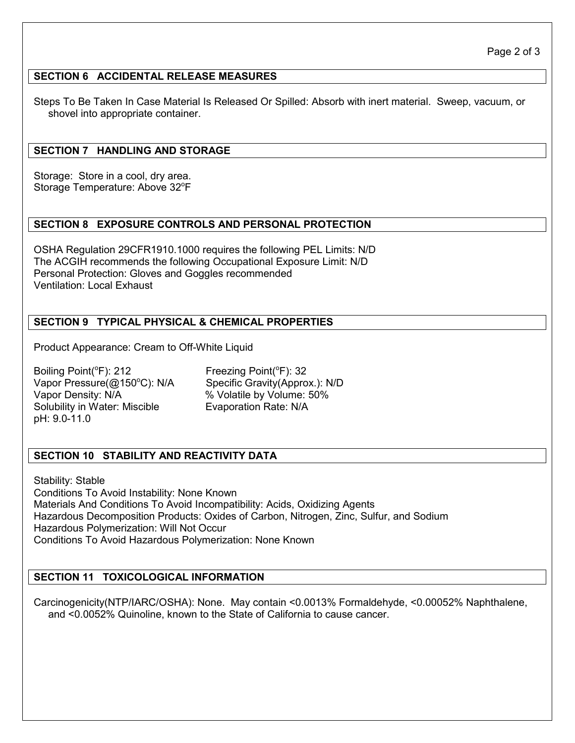#### **SECTION 6 ACCIDENTAL RELEASE MEASURES**

Steps To Be Taken In Case Material Is Released Or Spilled: Absorb with inert material. Sweep, vacuum, or shovel into appropriate container.

#### **SECTION 7 HANDLING AND STORAGE**

Storage: Store in a cool, dry area. Storage Temperature: Above 32°F

#### **SECTION 8 EXPOSURE CONTROLS AND PERSONAL PROTECTION**

OSHA Regulation 29CFR1910.1000 requires the following PEL Limits: N/D The ACGIH recommends the following Occupational Exposure Limit: N/D Personal Protection: Gloves and Goggles recommended Ventilation: Local Exhaust

#### **SECTION 9 TYPICAL PHYSICAL & CHEMICAL PROPERTIES**

Product Appearance: Cream to Off-White Liquid

Boiling Point( ${}^{\circ}$ F): 212 Freezing Point( ${}^{\circ}$ F): 32 Vapor Density: N/A % Volatile by Volume: 50% Solubility in Water: Miscible Evaporation Rate: N/A pH: 9.0-11.0

Vapor Pressure(@150°C): N/A Specific Gravity(Approx.): N/D

# **SECTION 10 STABILITY AND REACTIVITY DATA**

Stability: Stable Conditions To Avoid Instability: None Known Materials And Conditions To Avoid Incompatibility: Acids, Oxidizing Agents Hazardous Decomposition Products: Oxides of Carbon, Nitrogen, Zinc, Sulfur, and Sodium Hazardous Polymerization: Will Not Occur Conditions To Avoid Hazardous Polymerization: None Known

#### **SECTION 11 TOXICOLOGICAL INFORMATION**

Carcinogenicity(NTP/IARC/OSHA): None. May contain <0.0013% Formaldehyde, <0.00052% Naphthalene, and <0.0052% Quinoline, known to the State of California to cause cancer.